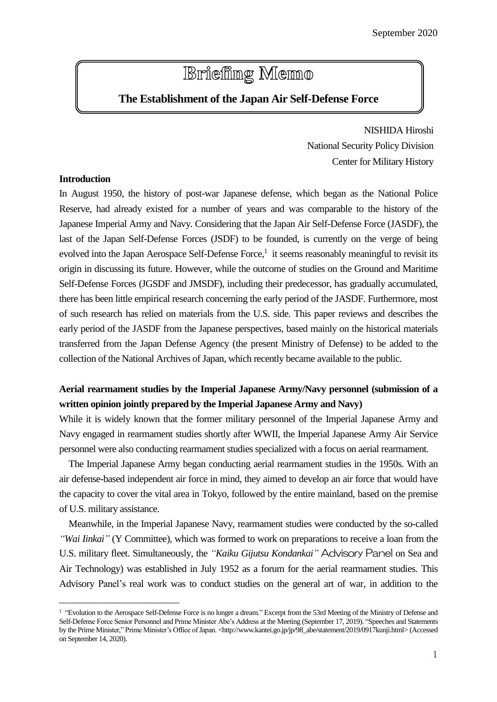# **Briefing Memo**

# **The Establishment of the Japan Air Self-Defense Force**

NISHIDA Hiroshi National Security Policy Division Center for Military History

## **Introduction**

l

In August 1950, the history of post-war Japanese defense, which began as the National Police Reserve, had already existed for a number of years and was comparable to the history of the Japanese Imperial Army and Navy. Considering that the Japan Air Self-Defense Force (JASDF), the last of the Japan Self-Defense Forces (JSDF) to be founded, is currently on the verge of being evolved into the Japan Aerospace Self-Defense Force, 1 it seems reasonably meaningful to revisit its origin in discussing its future. However, while the outcome of studies on the Ground and Maritime Self-Defense Forces (JGSDF and JMSDF), including their predecessor, has gradually accumulated, there has been little empirical research concerning the early period of the JASDF. Furthermore, most of such research has relied on materials from the U.S. side. This paper reviews and describes the early period of the JASDF from the Japanese perspectives, based mainly on the historical materials transferred from the Japan Defense Agency (the present Ministry of Defense) to be added to the collection of the National Archives of Japan, which recently became available to the public.

## **Aerial rearmament studies by the Imperial Japanese Army/Navy personnel (submission of a written opinion jointly prepared by the Imperial Japanese Army and Navy)**

While it is widely known that the former military personnel of the Imperial Japanese Army and Navy engaged in rearmament studies shortly after WWII, the Imperial Japanese Army Air Service personnel were also conducting rearmament studies specialized with a focus on aerial rearmament.

The Imperial Japanese Army began conducting aerial rearmament studies in the 1950s. With an air defense-based independent air force in mind, they aimed to develop an air force that would have the capacity to cover the vital area in Tokyo, followed by the entire mainland, based on the premise of U.S. military assistance.

Meanwhile, in the Imperial Japanese Navy, rearmament studies were conducted by the so-called *"Wai Iinkai"* (Y Committee), which was formed to work on preparations to receive a loan from the U.S. military fleet. Simultaneously, the *"Kaiku Gijutsu Kondankai"* Advisory Panel on Sea and Air Technology) was established in July 1952 as a forum for the aerial rearmament studies. This Advisory Panel's real work was to conduct studies on the general art of war, in addition to the

<sup>&</sup>lt;sup>1</sup> "Evolution to the Aerospace Self-Defense Force is no longer a dream." Excerpt from the 53rd Meeting of the Ministry of Defense and Self-Defense Force Senior Personnel and Prime Minister Abe's Address at the Meeting (September 17, 2019). "Speeches and Statements by the Prime Minister," Prime Minister's Office of Japan. <http://www.kantei.go.jp/jp/98\_abe/statement/2019/0917kunji.html> (Accessed on September 14, 2020).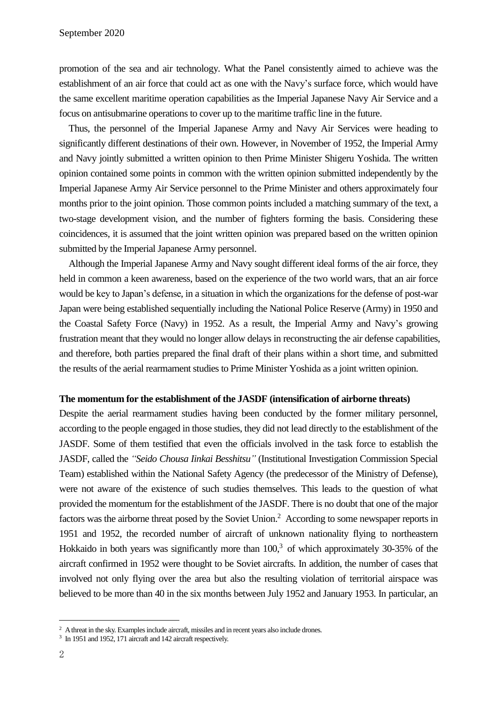promotion of the sea and air technology. What the Panel consistently aimed to achieve was the establishment of an air force that could act as one with the Navy's surface force, which would have the same excellent maritime operation capabilities as the Imperial Japanese Navy Air Service and a focus on antisubmarine operations to cover up to the maritime traffic line in the future.

Thus, the personnel of the Imperial Japanese Army and Navy Air Services were heading to significantly different destinations of their own. However, in November of 1952, the Imperial Army and Navy jointly submitted a written opinion to then Prime Minister Shigeru Yoshida. The written opinion contained some points in common with the written opinion submitted independently by the Imperial Japanese Army Air Service personnel to the Prime Minister and others approximately four months prior to the joint opinion. Those common points included a matching summary of the text, a two-stage development vision, and the number of fighters forming the basis. Considering these coincidences, it is assumed that the joint written opinion was prepared based on the written opinion submitted by the Imperial Japanese Army personnel.

Although the Imperial Japanese Army and Navy sought different ideal forms of the air force, they held in common a keen awareness, based on the experience of the two world wars, that an air force would be key to Japan's defense, in a situation in which the organizations for the defense of post-war Japan were being established sequentially including the National Police Reserve (Army) in 1950 and the Coastal Safety Force (Navy) in 1952. As a result, the Imperial Army and Navy's growing frustration meant that they would no longer allow delays in reconstructing the air defense capabilities, and therefore, both parties prepared the final draft of their plans within a short time, and submitted the results of the aerial rearmament studies to Prime Minister Yoshida as a joint written opinion.

#### **The momentum for the establishment of the JASDF (intensification of airborne threats)**

Despite the aerial rearmament studies having been conducted by the former military personnel, according to the people engaged in those studies, they did not lead directly to the establishment of the JASDF. Some of them testified that even the officials involved in the task force to establish the JASDF, called the *"Seido Chousa Iinkai Besshitsu"* (Institutional Investigation Commission Special Team) established within the National Safety Agency (the predecessor of the Ministry of Defense), were not aware of the existence of such studies themselves. This leads to the question of what provided the momentum for the establishment of the JASDF. There is no doubt that one of the major factors was the airborne threat posed by the Soviet Union.<sup>2</sup> According to some newspaper reports in 1951 and 1952, the recorded number of aircraft of unknown nationality flying to northeastern Hokkaido in both years was significantly more than  $100<sup>3</sup>$  of which approximately 30-35% of the aircraft confirmed in 1952 were thought to be Soviet aircrafts. In addition, the number of cases that involved not only flying over the area but also the resulting violation of territorial airspace was believed to be more than 40 in the six months between July 1952 and January 1953. In particular, an

 $\overline{a}$ 

<sup>&</sup>lt;sup>2</sup> A threat in the sky. Examples include aircraft, missiles and in recent years also include drones.

<sup>&</sup>lt;sup>3</sup> In 1951 and 1952, 171 aircraft and 142 aircraft respectively.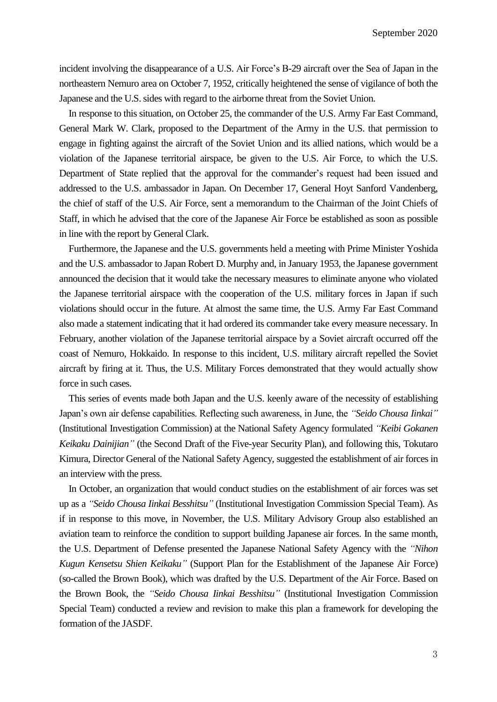incident involving the disappearance of a U.S. Air Force's B-29 aircraft over the Sea of Japan in the northeastern Nemuro area on October 7, 1952, critically heightened the sense of vigilance of both the Japanese and the U.S. sides with regard to the airborne threat from the Soviet Union.

In response to this situation, on October 25, the commander of the U.S. Army Far East Command, General Mark W. Clark, proposed to the Department of the Army in the U.S. that permission to engage in fighting against the aircraft of the Soviet Union and its allied nations, which would be a violation of the Japanese territorial airspace, be given to the U.S. Air Force, to which the U.S. Department of State replied that the approval for the commander's request had been issued and addressed to the U.S. ambassador in Japan. On December 17, General Hoyt Sanford Vandenberg, the chief of staff of the U.S. Air Force, sent a memorandum to the Chairman of the Joint Chiefs of Staff, in which he advised that the core of the Japanese Air Force be established as soon as possible in line with the report by General Clark.

Furthermore, the Japanese and the U.S. governments held a meeting with Prime Minister Yoshida and the U.S. ambassador to Japan Robert D. Murphy and, in January 1953, the Japanese government announced the decision that it would take the necessary measures to eliminate anyone who violated the Japanese territorial airspace with the cooperation of the U.S. military forces in Japan if such violations should occur in the future. At almost the same time, the U.S. Army Far East Command also made a statement indicating that it had ordered its commander take every measure necessary. In February, another violation of the Japanese territorial airspace by a Soviet aircraft occurred off the coast of Nemuro, Hokkaido. In response to this incident, U.S. military aircraft repelled the Soviet aircraft by firing at it. Thus, the U.S. Military Forces demonstrated that they would actually show force in such cases.

This series of events made both Japan and the U.S. keenly aware of the necessity of establishing Japan's own air defense capabilities. Reflecting such awareness, in June, the *"Seido Chousa Iinkai"* (Institutional Investigation Commission) at the National Safety Agency formulated *"Keibi Gokanen Keikaku Dainijian"* (the Second Draft of the Five-year Security Plan), and following this, Tokutaro Kimura, Director General of the National Safety Agency, suggested the establishment of air forces in an interview with the press.

In October, an organization that would conduct studies on the establishment of air forces was set up as a *"Seido Chousa Iinkai Besshitsu"* (Institutional Investigation Commission Special Team). As if in response to this move, in November, the U.S. Military Advisory Group also established an aviation team to reinforce the condition to support building Japanese air forces. In the same month, the U.S. Department of Defense presented the Japanese National Safety Agency with the *"Nihon Kugun Kensetsu Shien Keikaku"* (Support Plan for the Establishment of the Japanese Air Force) (so-called the Brown Book), which was drafted by the U.S. Department of the Air Force. Based on the Brown Book, the *"Seido Chousa Iinkai Besshitsu"* (Institutional Investigation Commission Special Team) conducted a review and revision to make this plan a framework for developing the formation of the JASDF.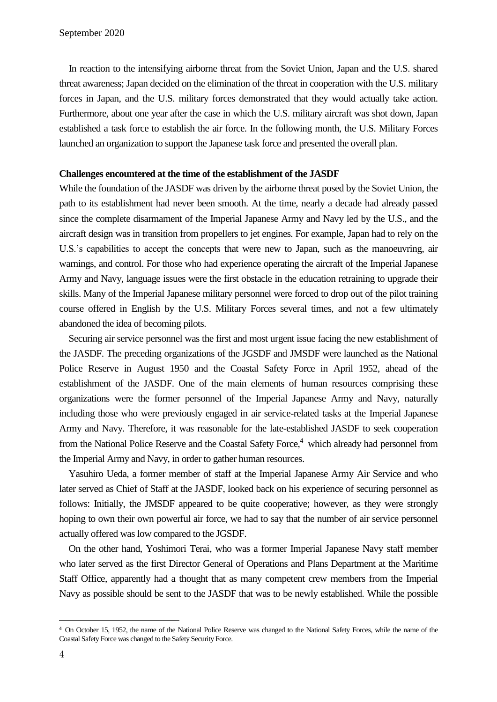In reaction to the intensifying airborne threat from the Soviet Union, Japan and the U.S. shared threat awareness; Japan decided on the elimination of the threat in cooperation with the U.S. military forces in Japan, and the U.S. military forces demonstrated that they would actually take action. Furthermore, about one year after the case in which the U.S. military aircraft was shot down, Japan established a task force to establish the air force. In the following month, the U.S. Military Forces launched an organization to support the Japanese task force and presented the overall plan.

#### **Challenges encountered at the time of the establishment of the JASDF**

While the foundation of the JASDF was driven by the airborne threat posed by the Soviet Union, the path to its establishment had never been smooth. At the time, nearly a decade had already passed since the complete disarmament of the Imperial Japanese Army and Navy led by the U.S., and the aircraft design was in transition from propellers to jet engines. For example, Japan had to rely on the U.S.'s capabilities to accept the concepts that were new to Japan, such as the manoeuvring, air warnings, and control. For those who had experience operating the aircraft of the Imperial Japanese Army and Navy, language issues were the first obstacle in the education retraining to upgrade their skills. Many of the Imperial Japanese military personnel were forced to drop out of the pilot training course offered in English by the U.S. Military Forces several times, and not a few ultimately abandoned the idea of becoming pilots.

Securing air service personnel was the first and most urgent issue facing the new establishment of the JASDF. The preceding organizations of the JGSDF and JMSDF were launched as the National Police Reserve in August 1950 and the Coastal Safety Force in April 1952, ahead of the establishment of the JASDF. One of the main elements of human resources comprising these organizations were the former personnel of the Imperial Japanese Army and Navy, naturally including those who were previously engaged in air service-related tasks at the Imperial Japanese Army and Navy. Therefore, it was reasonable for the late-established JASDF to seek cooperation from the National Police Reserve and the Coastal Safety Force,<sup>4</sup> which already had personnel from the Imperial Army and Navy, in order to gather human resources.

Yasuhiro Ueda, a former member of staff at the Imperial Japanese Army Air Service and who later served as Chief of Staff at the JASDF, looked back on his experience of securing personnel as follows: Initially, the JMSDF appeared to be quite cooperative; however, as they were strongly hoping to own their own powerful air force, we had to say that the number of air service personnel actually offered was low compared to the JGSDF.

On the other hand, Yoshimori Terai, who was a former Imperial Japanese Navy staff member who later served as the first Director General of Operations and Plans Department at the Maritime Staff Office, apparently had a thought that as many competent crew members from the Imperial Navy as possible should be sent to the JASDF that was to be newly established. While the possible

 $\overline{a}$ 

<sup>4</sup> On October 15, 1952, the name of the National Police Reserve was changed to the National Safety Forces, while the name of the Coastal Safety Force was changed to the Safety Security Force.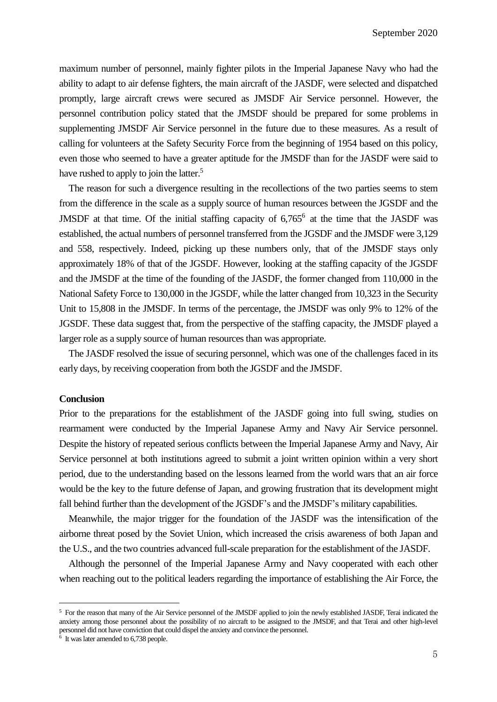maximum number of personnel, mainly fighter pilots in the Imperial Japanese Navy who had the ability to adapt to air defense fighters, the main aircraft of the JASDF, were selected and dispatched promptly, large aircraft crews were secured as JMSDF Air Service personnel. However, the personnel contribution policy stated that the JMSDF should be prepared for some problems in supplementing JMSDF Air Service personnel in the future due to these measures. As a result of calling for volunteers at the Safety Security Force from the beginning of 1954 based on this policy, even those who seemed to have a greater aptitude for the JMSDF than for the JASDF were said to have rushed to apply to join the latter.<sup>5</sup>

The reason for such a divergence resulting in the recollections of the two parties seems to stem from the difference in the scale as a supply source of human resources between the JGSDF and the JMSDF at that time. Of the initial staffing capacity of  $6,765$ <sup>6</sup> at the time that the JASDF was established, the actual numbers of personnel transferred from the JGSDF and the JMSDF were 3,129 and 558, respectively. Indeed, picking up these numbers only, that of the JMSDF stays only approximately 18% of that of the JGSDF. However, looking at the staffing capacity of the JGSDF and the JMSDF at the time of the founding of the JASDF, the former changed from 110,000 in the National Safety Force to 130,000 in the JGSDF, while the latter changed from 10,323 in the Security Unit to 15,808 in the JMSDF. In terms of the percentage, the JMSDF was only 9% to 12% of the JGSDF. These data suggest that, from the perspective of the staffing capacity, the JMSDF played a larger role as a supply source of human resources than was appropriate.

The JASDF resolved the issue of securing personnel, which was one of the challenges faced in its early days, by receiving cooperation from both the JGSDF and the JMSDF.

#### **Conclusion**

Prior to the preparations for the establishment of the JASDF going into full swing, studies on rearmament were conducted by the Imperial Japanese Army and Navy Air Service personnel. Despite the history of repeated serious conflicts between the Imperial Japanese Army and Navy, Air Service personnel at both institutions agreed to submit a joint written opinion within a very short period, due to the understanding based on the lessons learned from the world wars that an air force would be the key to the future defense of Japan, and growing frustration that its development might fall behind further than the development of the JGSDF's and the JMSDF's military capabilities.

Meanwhile, the major trigger for the foundation of the JASDF was the intensification of the airborne threat posed by the Soviet Union, which increased the crisis awareness of both Japan and the U.S., and the two countries advanced full-scale preparation for the establishment of the JASDF.

Although the personnel of the Imperial Japanese Army and Navy cooperated with each other when reaching out to the political leaders regarding the importance of establishing the Air Force, the

l

<sup>5</sup> For the reason that many of the Air Service personnel of the JMSDF applied to join the newly established JASDF, Terai indicated the anxiety among those personnel about the possibility of no aircraft to be assigned to the JMSDF, and that Terai and other high-level personnel did not have conviction that could dispel the anxiety and convince the personnel.

<sup>6</sup> It was later amended to 6,738 people.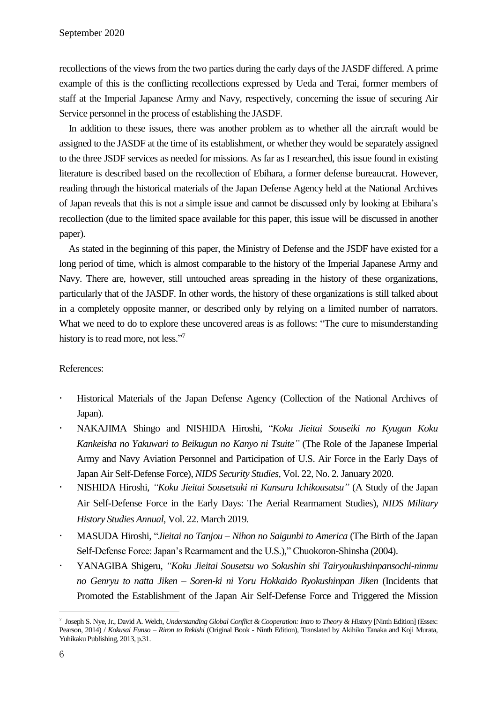recollections of the views from the two parties during the early days of the JASDF differed. A prime example of this is the conflicting recollections expressed by Ueda and Terai, former members of staff at the Imperial Japanese Army and Navy, respectively, concerning the issue of securing Air Service personnel in the process of establishing the JASDF.

In addition to these issues, there was another problem as to whether all the aircraft would be assigned to the JASDF at the time of its establishment, or whether they would be separately assigned to the three JSDF services as needed for missions. As far as I researched, this issue found in existing literature is described based on the recollection of Ebihara, a former defense bureaucrat. However, reading through the historical materials of the Japan Defense Agency held at the National Archives of Japan reveals that this is not a simple issue and cannot be discussed only by looking at Ebihara's recollection (due to the limited space available for this paper, this issue will be discussed in another paper).

As stated in the beginning of this paper, the Ministry of Defense and the JSDF have existed for a long period of time, which is almost comparable to the history of the Imperial Japanese Army and Navy. There are, however, still untouched areas spreading in the history of these organizations, particularly that of the JASDF. In other words, the history of these organizations is still talked about in a completely opposite manner, or described only by relying on a limited number of narrators. What we need to do to explore these uncovered areas is as follows: "The cure to misunderstanding history is to read more, not less."7

### References:

- Historical Materials of the Japan Defense Agency (Collection of the National Archives of Japan).
- NAKAJIMA Shingo and NISHIDA Hiroshi, "*Koku Jieitai Souseiki no Kyugun Koku Kankeisha no Yakuwari to Beikugun no Kanyo ni Tsuite"* (The Role of the Japanese Imperial Army and Navy Aviation Personnel and Participation of U.S. Air Force in the Early Days of Japan Air Self-Defense Force), *NIDS Security Studies*, Vol. 22, No. 2. January 2020.
- NISHIDA Hiroshi, *"Koku Jieitai Sousetsuki ni Kansuru Ichikousatsu"* (A Study of the Japan Air Self-Defense Force in the Early Days: The Aerial Rearmament Studies), *NIDS Military History Studies Annual*, Vol. 22. March 2019.
- MASUDA Hiroshi, "*Jieitai no Tanjou – Nihon no Saigunbi to America* (The Birth of the Japan Self-Defense Force: Japan's Rearmament and the U.S.)," Chuokoron-Shinsha (2004).
- YANAGIBA Shigeru, *"Koku Jieitai Sousetsu wo Sokushin shi Tairyoukushinpansochi-ninmu no Genryu to natta Jiken – Soren-ki ni Yoru Hokkaido Ryokushinpan Jiken* (Incidents that Promoted the Establishment of the Japan Air Self-Defense Force and Triggered the Mission

 $\overline{a}$ 

<sup>7</sup> Joseph S. Nye, Jr., David A. Welch, *Understanding Global Conflict & Cooperation: Intro to Theory & History* [Ninth Edition] (Essex: Pearson, 2014) / *Kokusai Funso – Riron to Rekishi* (Original Book - Ninth Edition), Translated by Akihiko Tanaka and Koji Murata, Yuhikaku Publishing, 2013, p.31.